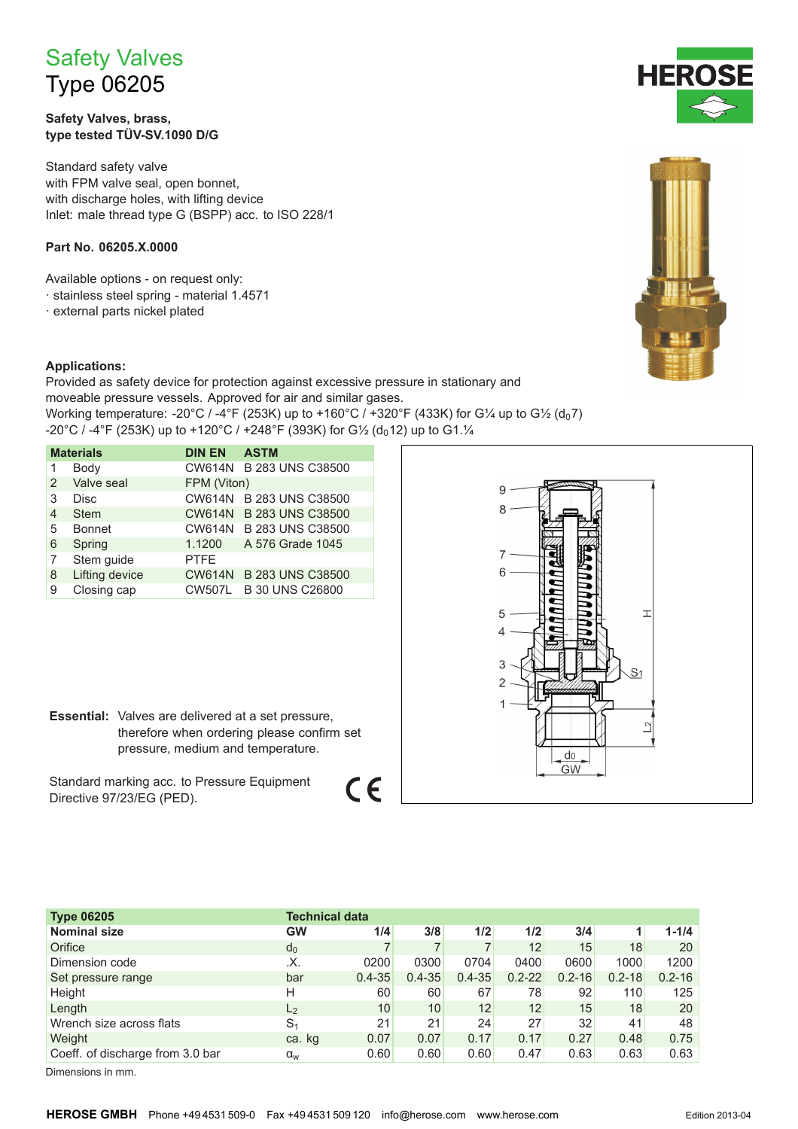# **Safety Valves Type 06205**

Safety Valves, brass, type tested TÜV-SV.1090 D/G

Standard safety valve with FPM valve seal, open bonnet, with discharge holes, with lifting device Inlet: male thread type G (BSPP) acc. to ISO 228/1

### Part No. 06205.X.0000

Available options - on request only:

- · stainless steel spring material 1.4571
- · external parts nickel plated

#### **Applications:**

Provided as safety device for protection against excessive pressure in stationary and moveable pressure vessels. Approved for air and similar gases. Working temperature: -20°C / -4°F (253K) up to +160°C / +320°F (433K) for G¼ up to G½ (d<sub>0</sub>7) -20°C / -4°F (253K) up to +120°C / +248°F (393K) for G1/2 (d<sub>0</sub>12) up to G1.1/4

| <b>Materials</b> |                | <b>DIN EN</b> | <b>ASTM</b>             |
|------------------|----------------|---------------|-------------------------|
|                  | Body           |               | CW614N B 283 UNS C38500 |
| 2                | Valve seal     | FPM (Viton)   |                         |
| 3                | Disc           | <b>CW614N</b> | <b>B 283 UNS C38500</b> |
| 4                | <b>Stem</b>    |               | CW614N B 283 UNS C38500 |
| 5                | <b>Bonnet</b>  |               | CW614N B 283 UNS C38500 |
| 6                | Spring         | 1.1200        | A 576 Grade 1045        |
| 7                | Stem guide     | <b>PTFE</b>   |                         |
| 8                | Lifting device |               | CW614N B 283 UNS C38500 |
| 9                | Closing cap    |               | CW507L B 30 UNS C26800  |



Standard marking acc. to Pressure Equipment Directive 97/23/EG (PED).

| <b>Type 06205</b>                | Technical data |            |            |            |            |            |            |            |
|----------------------------------|----------------|------------|------------|------------|------------|------------|------------|------------|
| <b>Nominal size</b>              | GW             | 1/4        | 3/8        | 1/2        | 1/2        | 3/4        |            | $1 - 1/4$  |
| Orifice                          | $d_0$          |            |            | 7          | 12         | 15         | 18         | 20         |
| Dimension code                   | .Х.            | 0200       | 0300       | 0704       | 0400       | 0600       | 1000       | 1200       |
| Set pressure range               | bar            | $0.4 - 35$ | $0.4 - 35$ | $0.4 - 35$ | $0.2 - 22$ | $0.2 - 16$ | $0.2 - 18$ | $0.2 - 16$ |
| Height                           | н              | 60         | 60         | 67         | 78         | 92         | 110        | 125        |
| Length                           | L <sub>2</sub> | 10         | 10         | 12         | 12         | 15         | 18         | 20         |
| Wrench size across flats         | S <sub>1</sub> | 21         | 21         | 24         | 27         | 32         | 41         | 48         |
| Weight                           | ca. kg         | 0.07       | 0.07       | 0.17       | 0.17       | 0.27       | 0.48       | 0.75       |
| Coeff. of discharge from 3.0 bar | $\alpha_{w}$   | 0.60       | 0.60       | 0.60       | 0.47       | 0.63       | 0.63       | 0.63       |

 $\epsilon$ 

Dimensions in mm.